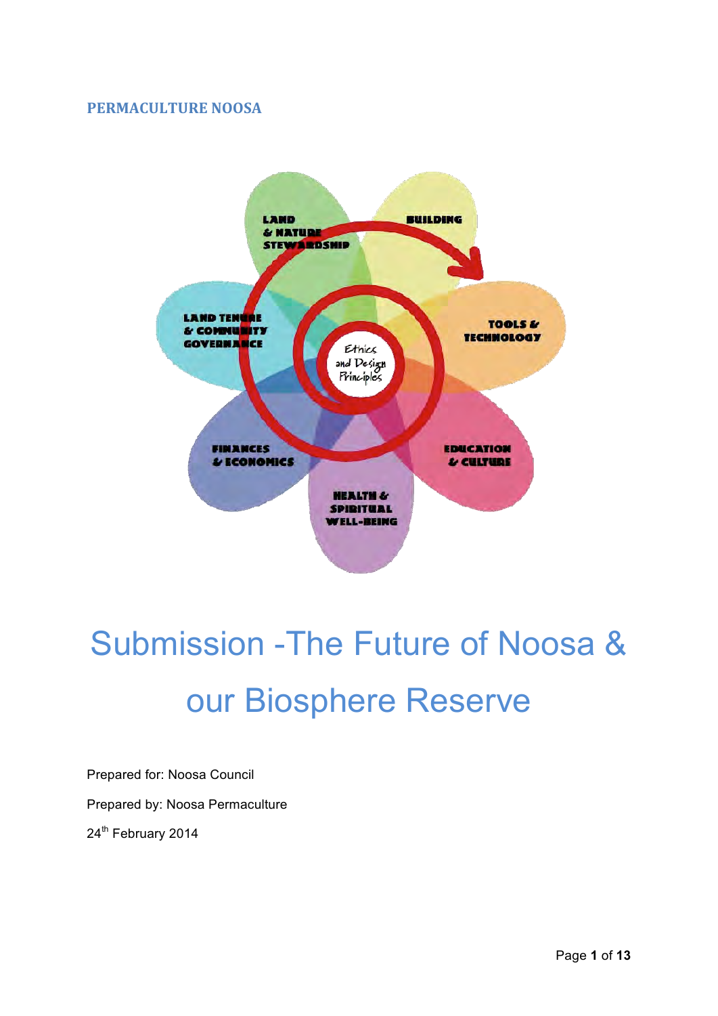#### **PERMACULTURE NOOSA**



# Submission -The Future of Noosa & our Biosphere Reserve

Prepared for: Noosa Council Prepared by: Noosa Permaculture 24<sup>th</sup> February 2014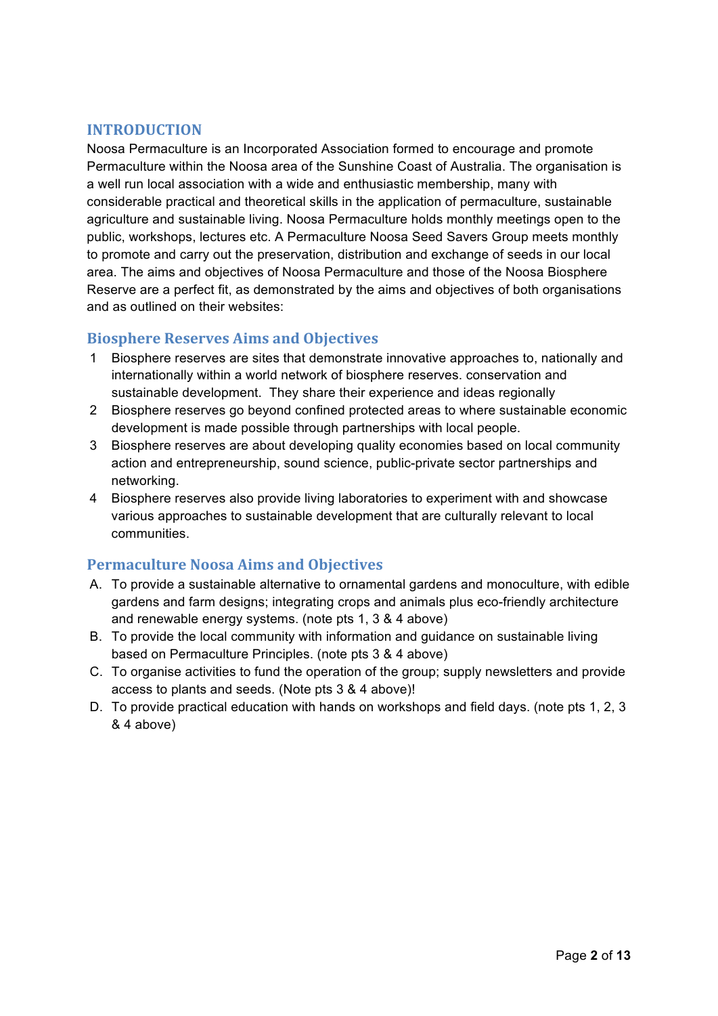#### **INTRODUCTION\***

Noosa Permaculture is an Incorporated Association formed to encourage and promote Permaculture within the Noosa area of the Sunshine Coast of Australia. The organisation is a well run local association with a wide and enthusiastic membership, many with considerable practical and theoretical skills in the application of permaculture, sustainable agriculture and sustainable living. Noosa Permaculture holds monthly meetings open to the public, workshops, lectures etc. A Permaculture Noosa Seed Savers Group meets monthly to promote and carry out the preservation, distribution and exchange of seeds in our local area. The aims and objectives of Noosa Permaculture and those of the Noosa Biosphere Reserve are a perfect fit, as demonstrated by the aims and objectives of both organisations and as outlined on their websites:

#### **Biosphere Reserves Aims and Objectives**

- 1 Biosphere reserves are sites that demonstrate innovative approaches to, nationally and internationally within a world network of biosphere reserves. conservation and sustainable development. They share their experience and ideas regionally
- 2 Biosphere reserves go beyond confined protected areas to where sustainable economic development is made possible through partnerships with local people.
- 3 Biosphere reserves are about developing quality economies based on local community action and entrepreneurship, sound science, public-private sector partnerships and networking.
- 4 Biosphere reserves also provide living laboratories to experiment with and showcase various approaches to sustainable development that are culturally relevant to local communities.

#### **Permaculture Noosa Aims and Objectives**

- A. To provide a sustainable alternative to ornamental gardens and monoculture, with edible gardens and farm designs; integrating crops and animals plus eco-friendly architecture and renewable energy systems. (note pts 1, 3 & 4 above)
- B. To provide the local community with information and guidance on sustainable living based on Permaculture Principles. (note pts 3 & 4 above)
- C. To organise activities to fund the operation of the group; supply newsletters and provide access to plants and seeds. (Note pts 3 & 4 above)!
- D. To provide practical education with hands on workshops and field days. (note pts 1, 2, 3 & 4 above)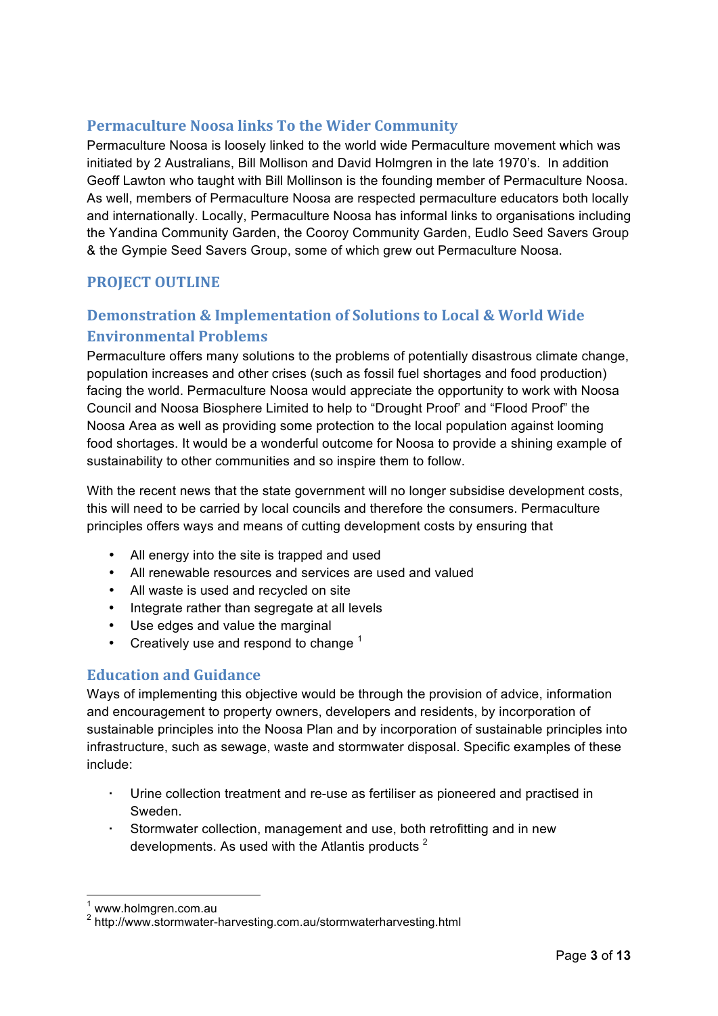#### **Permaculture Noosa links To the Wider Community**

Permaculture Noosa is loosely linked to the world wide Permaculture movement which was initiated by 2 Australians, Bill Mollison and David Holmgren in the late 1970's. In addition Geoff Lawton who taught with Bill Mollinson is the founding member of Permaculture Noosa. As well, members of Permaculture Noosa are respected permaculture educators both locally and internationally. Locally, Permaculture Noosa has informal links to organisations including the Yandina Community Garden, the Cooroy Community Garden, Eudlo Seed Savers Group & the Gympie Seed Savers Group, some of which grew out Permaculture Noosa.

#### **PROJECT OUTLINE**

### **Demonstration & Implementation of Solutions to Local & World Wide Environmental Problems**

Permaculture offers many solutions to the problems of potentially disastrous climate change, population increases and other crises (such as fossil fuel shortages and food production) facing the world. Permaculture Noosa would appreciate the opportunity to work with Noosa Council and Noosa Biosphere Limited to help to "Drought Proof' and "Flood Proof" the Noosa Area as well as providing some protection to the local population against looming food shortages. It would be a wonderful outcome for Noosa to provide a shining example of sustainability to other communities and so inspire them to follow.

With the recent news that the state government will no longer subsidise development costs, this will need to be carried by local councils and therefore the consumers. Permaculture principles offers ways and means of cutting development costs by ensuring that

- All energy into the site is trapped and used
- All renewable resources and services are used and valued
- All waste is used and recycled on site
- Integrate rather than segregate at all levels
- Use edges and value the marginal
- Creatively use and respond to change  $1$

#### **Education and Guidance**

Ways of implementing this objective would be through the provision of advice, information and encouragement to property owners, developers and residents, by incorporation of sustainable principles into the Noosa Plan and by incorporation of sustainable principles into infrastructure, such as sewage, waste and stormwater disposal. Specific examples of these include:

- Urine collection treatment and re-use as fertiliser as pioneered and practised in Sweden.
- Stormwater collection, management and use, both retrofitting and in new developments. As used with the Atlantis products  $^2$

<sup>1</sup> www.holmgren.com.au

<sup>2</sup> http://www.stormwater-harvesting.com.au/stormwaterharvesting.html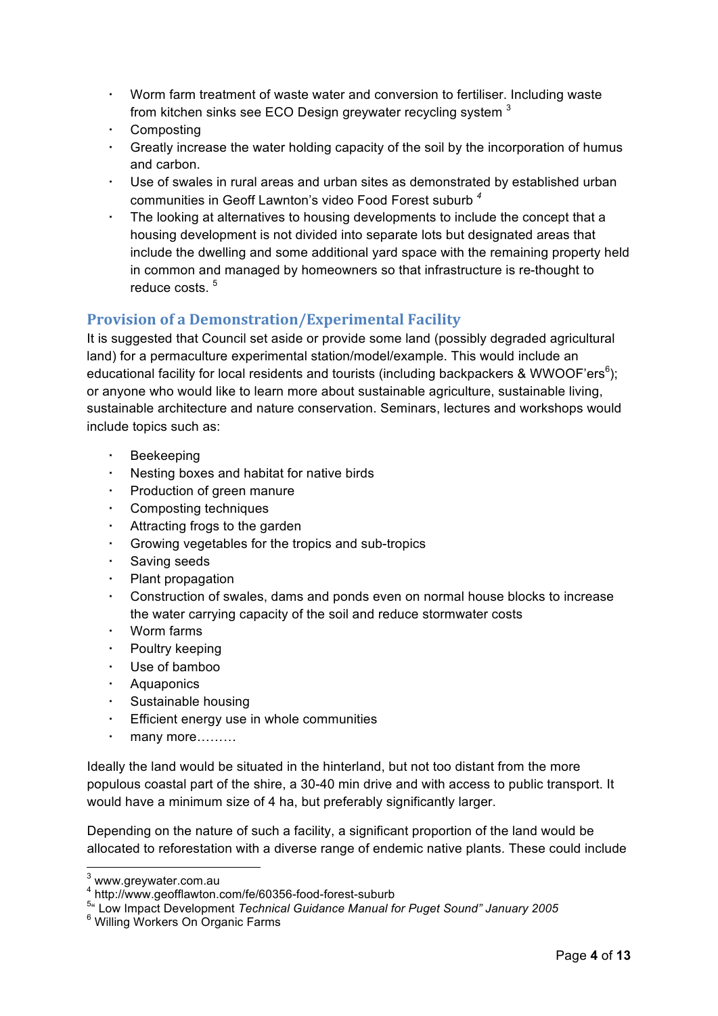- ! Worm farm treatment of waste water and conversion to fertiliser. Including waste from kitchen sinks see ECO Design greywater recycling system <sup>3</sup>
- **Composting**
- ! Greatly increase the water holding capacity of the soil by the incorporation of humus and carbon.
- ! Use of swales in rural areas and urban sites as demonstrated by established urban communities in Geoff Lawnton's video Food Forest suburb *<sup>4</sup>*
- The looking at alternatives to housing developments to include the concept that a housing development is not divided into separate lots but designated areas that include the dwelling and some additional yard space with the remaining property held in common and managed by homeowners so that infrastructure is re-thought to reduce costs <sup>5</sup>

#### **Provision of a Demonstration/Experimental Facility**

It is suggested that Council set aside or provide some land (possibly degraded agricultural land) for a permaculture experimental station/model/example. This would include an educational facility for local residents and tourists (including backpackers & WWOOF'ers $6$ ); or anyone who would like to learn more about sustainable agriculture, sustainable living, sustainable architecture and nature conservation. Seminars, lectures and workshops would include topics such as:

- **Beekeeping**
- Nesting boxes and habitat for native birds
- ! Production of green manure
- Composting techniques
- Attracting frogs to the garden
- ! Growing vegetables for the tropics and sub-tropics
- Saving seeds
- ! Plant propagation
- ! Construction of swales, dams and ponds even on normal house blocks to increase the water carrying capacity of the soil and reduce stormwater costs
- Worm farms
- Poultry keeping
- Use of bamboo
- **Aquaponics**
- Sustainable housing
- Efficient energy use in whole communities
- many more………

Ideally the land would be situated in the hinterland, but not too distant from the more populous coastal part of the shire, a 30-40 min drive and with access to public transport. It would have a minimum size of 4 ha, but preferably significantly larger.

Depending on the nature of such a facility, a significant proportion of the land would be allocated to reforestation with a diverse range of endemic native plants. These could include

 3 www.greywater.com.au

<sup>4</sup> http://www.geofflawton.com/fe/60356-food-forest-suburb

<sup>&</sup>lt;sup>5</sup>" Low Impact Development *Technical Guidance Manual for Puget Sound" January 2005*<br><sup>6</sup> Williag Warkers On Organia Ferme

Willing Workers On Organic Farms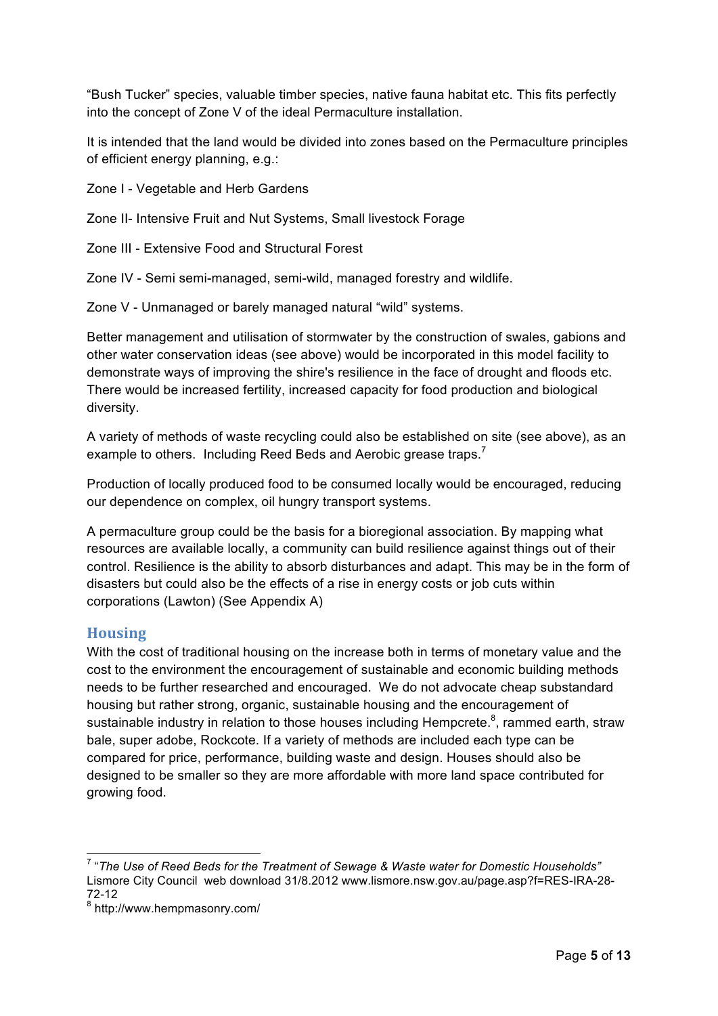"Bush Tucker" species, valuable timber species, native fauna habitat etc. This fits perfectly into the concept of Zone V of the ideal Permaculture installation.

It is intended that the land would be divided into zones based on the Permaculture principles of efficient energy planning, e.g.:

Zone I - Vegetable and Herb Gardens

Zone II- Intensive Fruit and Nut Systems, Small livestock Forage

Zone III - Extensive Food and Structural Forest

Zone IV - Semi semi-managed, semi-wild, managed forestry and wildlife.

Zone V - Unmanaged or barely managed natural "wild" systems.

Better management and utilisation of stormwater by the construction of swales, gabions and other water conservation ideas (see above) would be incorporated in this model facility to demonstrate ways of improving the shire's resilience in the face of drought and floods etc. There would be increased fertility, increased capacity for food production and biological diversity.

A variety of methods of waste recycling could also be established on site (see above), as an example to others. Including Reed Beds and Aerobic grease traps.<sup>7</sup>

Production of locally produced food to be consumed locally would be encouraged, reducing our dependence on complex, oil hungry transport systems.

A permaculture group could be the basis for a bioregional association. By mapping what resources are available locally, a community can build resilience against things out of their control. Resilience is the ability to absorb disturbances and adapt. This may be in the form of disasters but could also be the effects of a rise in energy costs or job cuts within corporations (Lawton) (See Appendix A)

#### **Housing**

With the cost of traditional housing on the increase both in terms of monetary value and the cost to the environment the encouragement of sustainable and economic building methods needs to be further researched and encouraged. We do not advocate cheap substandard housing but rather strong, organic, sustainable housing and the encouragement of sustainable industry in relation to those houses including Hempcrete. $8$ , rammed earth, straw bale, super adobe, Rockcote. If a variety of methods are included each type can be compared for price, performance, building waste and design. Houses should also be designed to be smaller so they are more affordable with more land space contributed for growing food.

 7 "*The Use of Reed Beds for the Treatment of Sewage & Waste water for Domestic Households"*  Lismore City Council web download 31/8.2012 www.lismore.nsw.gov.au/page.asp?f=RES-IRA-28- 72-12

<sup>8</sup> http://www.hempmasonry.com/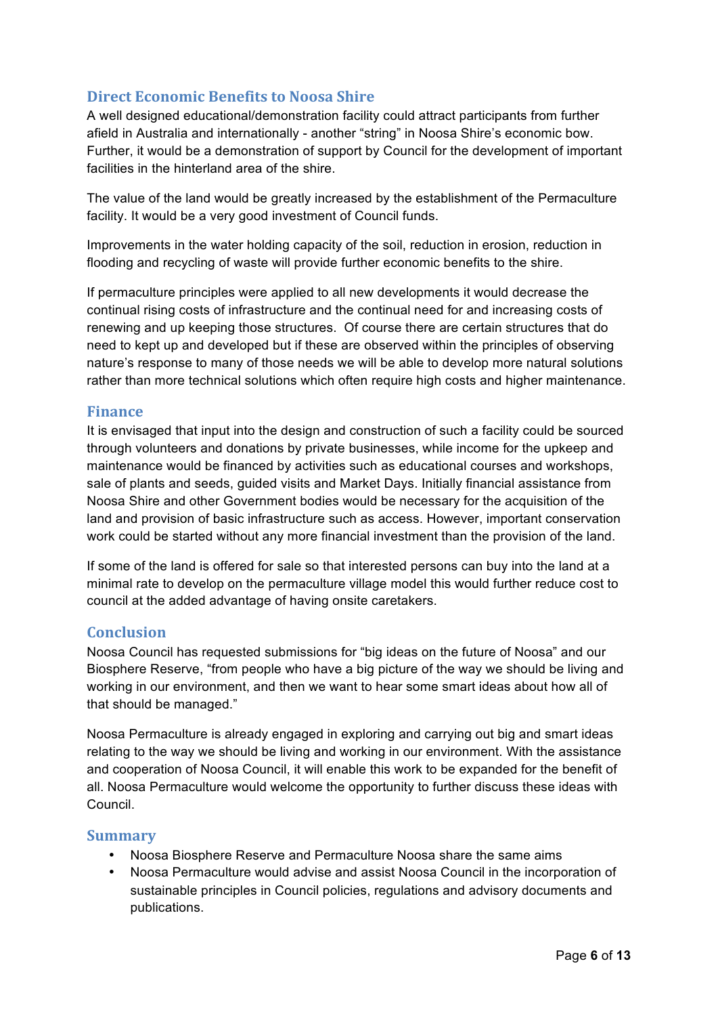#### **Direct Economic Benefits to Noosa Shire**

A well designed educational/demonstration facility could attract participants from further afield in Australia and internationally - another "string" in Noosa Shire's economic bow. Further, it would be a demonstration of support by Council for the development of important facilities in the hinterland area of the shire.

The value of the land would be greatly increased by the establishment of the Permaculture facility. It would be a very good investment of Council funds.

Improvements in the water holding capacity of the soil, reduction in erosion, reduction in flooding and recycling of waste will provide further economic benefits to the shire.

If permaculture principles were applied to all new developments it would decrease the continual rising costs of infrastructure and the continual need for and increasing costs of renewing and up keeping those structures. Of course there are certain structures that do need to kept up and developed but if these are observed within the principles of observing nature's response to many of those needs we will be able to develop more natural solutions rather than more technical solutions which often require high costs and higher maintenance.

#### **Finance**

It is envisaged that input into the design and construction of such a facility could be sourced through volunteers and donations by private businesses, while income for the upkeep and maintenance would be financed by activities such as educational courses and workshops, sale of plants and seeds, guided visits and Market Days. Initially financial assistance from Noosa Shire and other Government bodies would be necessary for the acquisition of the land and provision of basic infrastructure such as access. However, important conservation work could be started without any more financial investment than the provision of the land.

If some of the land is offered for sale so that interested persons can buy into the land at a minimal rate to develop on the permaculture village model this would further reduce cost to council at the added advantage of having onsite caretakers.

#### **Conclusion\***

Noosa Council has requested submissions for "big ideas on the future of Noosa" and our Biosphere Reserve, "from people who have a big picture of the way we should be living and working in our environment, and then we want to hear some smart ideas about how all of that should be managed."

Noosa Permaculture is already engaged in exploring and carrying out big and smart ideas relating to the way we should be living and working in our environment. With the assistance and cooperation of Noosa Council, it will enable this work to be expanded for the benefit of all. Noosa Permaculture would welcome the opportunity to further discuss these ideas with Council.

#### **Summary\***

- Noosa Biosphere Reserve and Permaculture Noosa share the same aims
- Noosa Permaculture would advise and assist Noosa Council in the incorporation of sustainable principles in Council policies, regulations and advisory documents and publications.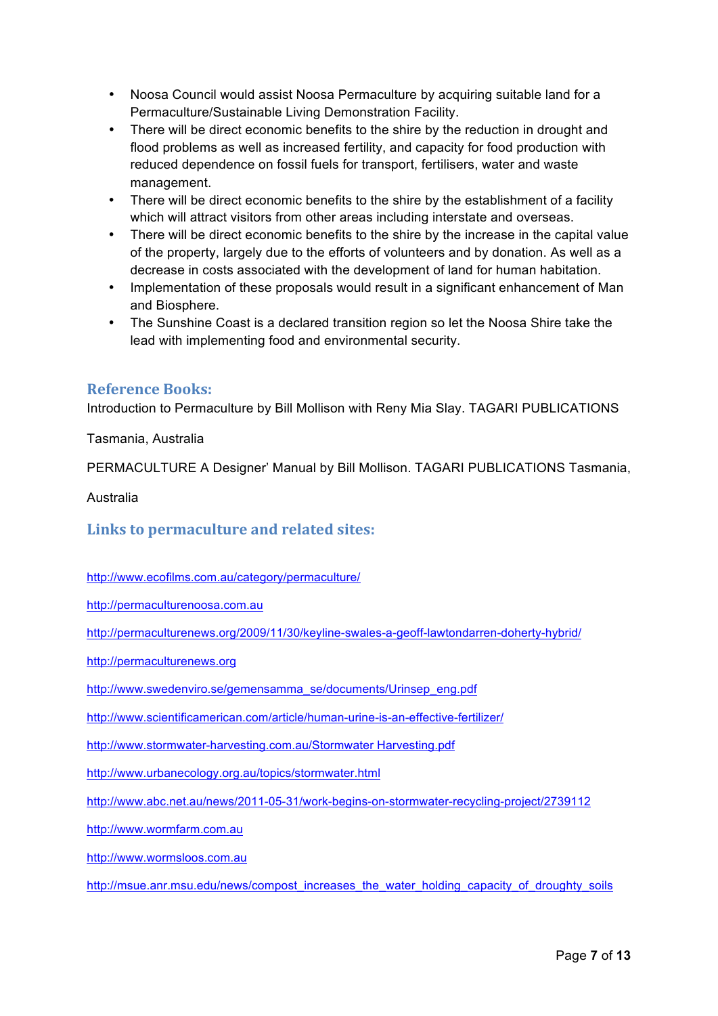- Noosa Council would assist Noosa Permaculture by acquiring suitable land for a Permaculture/Sustainable Living Demonstration Facility.
- There will be direct economic benefits to the shire by the reduction in drought and flood problems as well as increased fertility, and capacity for food production with reduced dependence on fossil fuels for transport, fertilisers, water and waste management.
- There will be direct economic benefits to the shire by the establishment of a facility which will attract visitors from other areas including interstate and overseas.
- There will be direct economic benefits to the shire by the increase in the capital value of the property, largely due to the efforts of volunteers and by donation. As well as a decrease in costs associated with the development of land for human habitation.
- Implementation of these proposals would result in a significant enhancement of Man and Biosphere.
- The Sunshine Coast is a declared transition region so let the Noosa Shire take the lead with implementing food and environmental security.

#### **Reference Books:**

Introduction to Permaculture by Bill Mollison with Reny Mia Slay. TAGARI PUBLICATIONS

Tasmania, Australia

PERMACULTURE A Designer' Manual by Bill Mollison. TAGARI PUBLICATIONS Tasmania,

Australia

Links to permaculture and related sites:

http://www.ecofilms.com.au/category/permaculture/

http://permaculturenoosa.com.au

http://permaculturenews.org/2009/11/30/keyline-swales-a-geoff-lawtondarren-doherty-hybrid/

http://permaculturenews.org

http://www.swedenviro.se/gemensamma\_se/documents/Urinsep\_eng.pdf

http://www.scientificamerican.com/article/human-urine-is-an-effective-fertilizer/

http://www.stormwater-harvesting.com.au/Stormwater Harvesting.pdf

http://www.urbanecology.org.au/topics/stormwater.html

http://www.abc.net.au/news/2011-05-31/work-begins-on-stormwater-recycling-project/2739112

http://www.wormfarm.com.au

http://www.wormsloos.com.au

http://msue.anr.msu.edu/news/compost\_increases\_the\_water\_holding\_capacity\_of\_droughty\_soils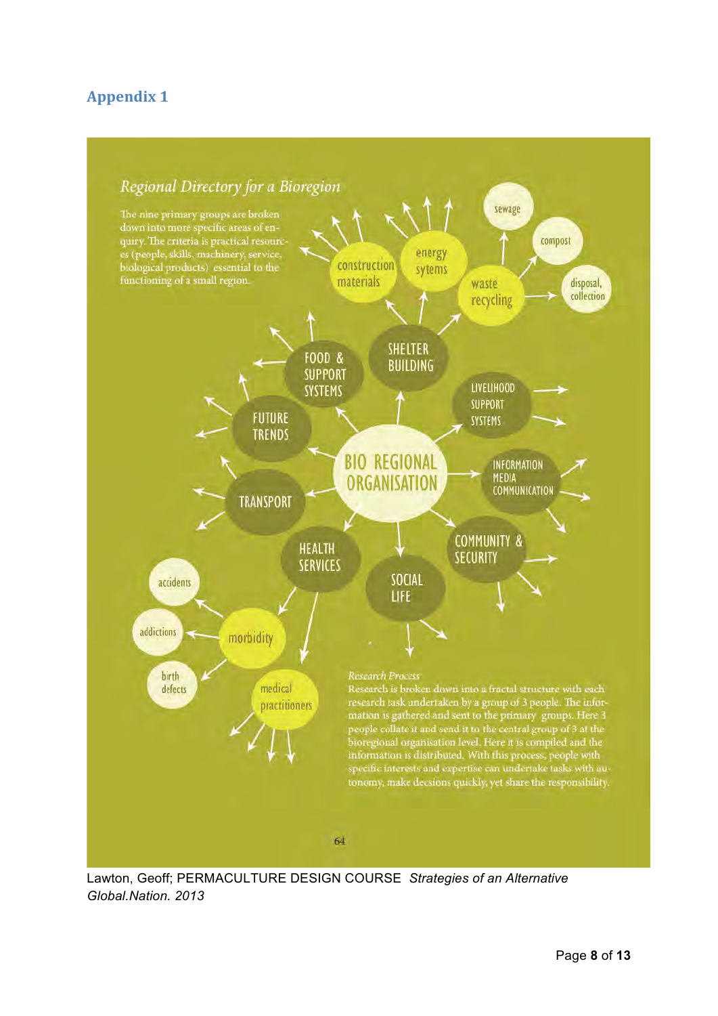### **Appendix 1**



Lawton, Geoff; PERMACULTURE DESIGN COURSE *Strategies of an Alternative Global.Nation. 2013*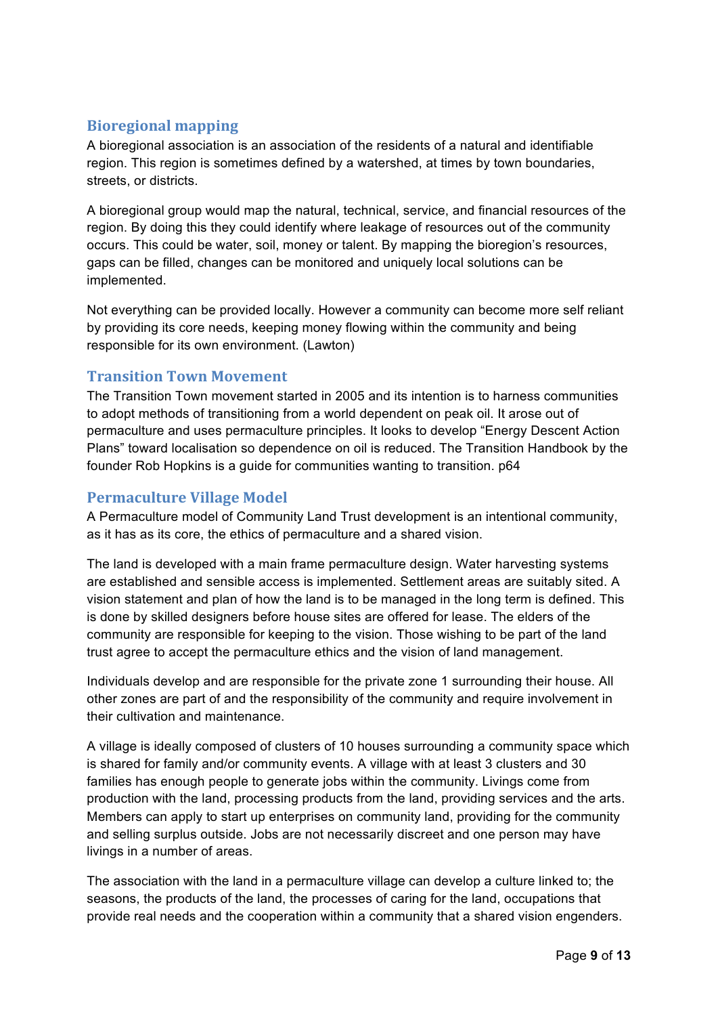#### **Bioregional\*mapping**

A bioregional association is an association of the residents of a natural and identifiable region. This region is sometimes defined by a watershed, at times by town boundaries, streets, or districts.

A bioregional group would map the natural, technical, service, and financial resources of the region. By doing this they could identify where leakage of resources out of the community occurs. This could be water, soil, money or talent. By mapping the bioregion's resources, gaps can be filled, changes can be monitored and uniquely local solutions can be implemented.

Not everything can be provided locally. However a community can become more self reliant by providing its core needs, keeping money flowing within the community and being responsible for its own environment. (Lawton)

#### **Transition Town Movement**

The Transition Town movement started in 2005 and its intention is to harness communities to adopt methods of transitioning from a world dependent on peak oil. It arose out of permaculture and uses permaculture principles. It looks to develop "Energy Descent Action Plans" toward localisation so dependence on oil is reduced. The Transition Handbook by the founder Rob Hopkins is a guide for communities wanting to transition. p64

#### **Permaculture Village Model**

A Permaculture model of Community Land Trust development is an intentional community, as it has as its core, the ethics of permaculture and a shared vision.

The land is developed with a main frame permaculture design. Water harvesting systems are established and sensible access is implemented. Settlement areas are suitably sited. A vision statement and plan of how the land is to be managed in the long term is defined. This is done by skilled designers before house sites are offered for lease. The elders of the community are responsible for keeping to the vision. Those wishing to be part of the land trust agree to accept the permaculture ethics and the vision of land management.

Individuals develop and are responsible for the private zone 1 surrounding their house. All other zones are part of and the responsibility of the community and require involvement in their cultivation and maintenance.

A village is ideally composed of clusters of 10 houses surrounding a community space which is shared for family and/or community events. A village with at least 3 clusters and 30 families has enough people to generate jobs within the community. Livings come from production with the land, processing products from the land, providing services and the arts. Members can apply to start up enterprises on community land, providing for the community and selling surplus outside. Jobs are not necessarily discreet and one person may have livings in a number of areas.

The association with the land in a permaculture village can develop a culture linked to; the seasons, the products of the land, the processes of caring for the land, occupations that provide real needs and the cooperation within a community that a shared vision engenders.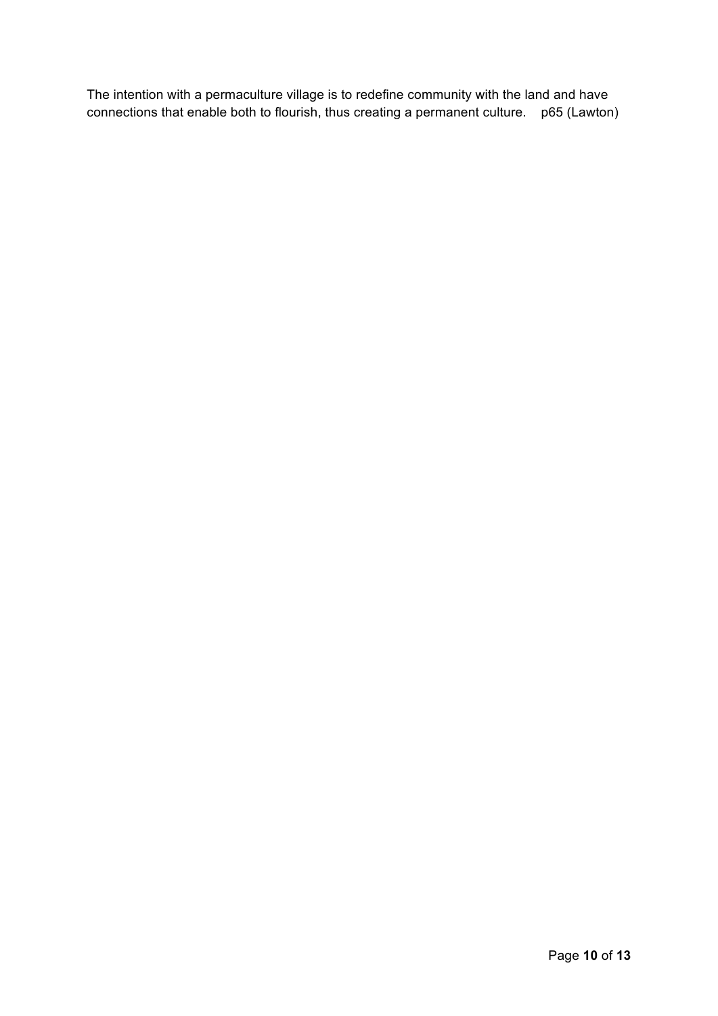The intention with a permaculture village is to redefine community with the land and have connections that enable both to flourish, thus creating a permanent culture. p65 (Lawton)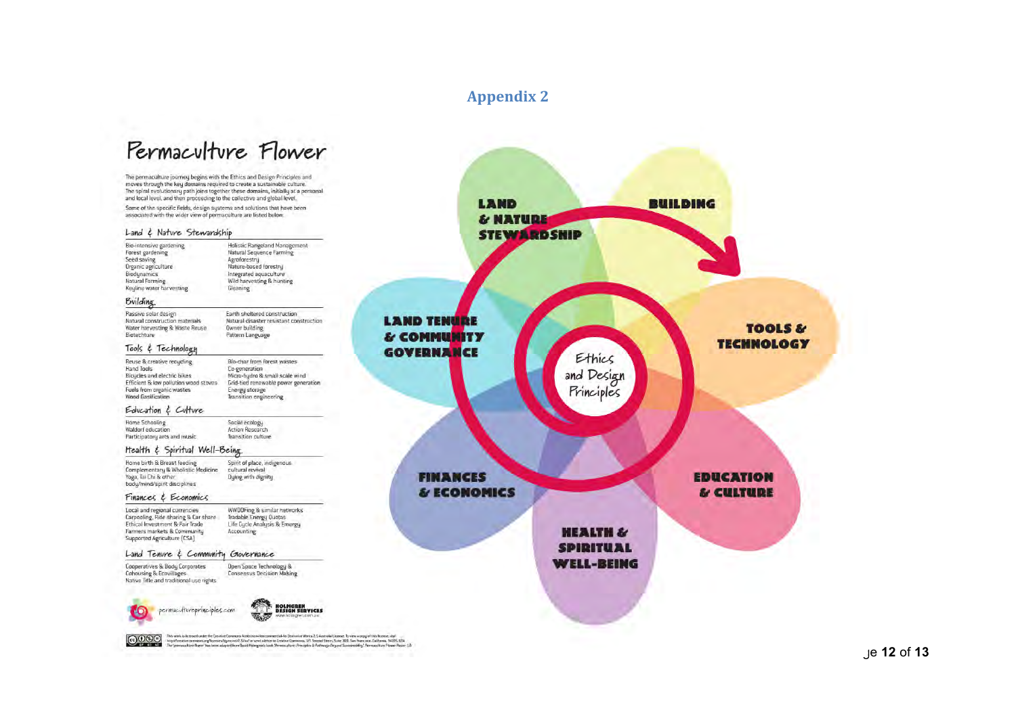#### **Appendix 2**

## Permaculture Flower

The permaculture journey begins with the Ethics and Design Principles and<br>moves through the key domains required to create a sustainable culture. The spiral evolutionary path joins together these domains, initially at a personal<br>and local level, and then proceeding to the collective and global level.

Some of the specific fields, design systems and solutions that have been<br>associated with the wider view of permaculture are listed below.

#### Land & Nature Stewardship

| Bio-intensive gardening<br>Forest gardening<br>Seed saving<br>Organic agriculture<br>Biodynamics<br>Natural Farming<br>Keyline water harvesting                           | Holistic Rangeland Management<br>Natural Sequence Farming<br>Agroforestry<br>Nature-based forestry<br>Integrated aquaculture<br>Wild harvesting & hunting<br>Gleaning                                                                                                                                                                                                                                                                                                                               |                                   |
|---------------------------------------------------------------------------------------------------------------------------------------------------------------------------|-----------------------------------------------------------------------------------------------------------------------------------------------------------------------------------------------------------------------------------------------------------------------------------------------------------------------------------------------------------------------------------------------------------------------------------------------------------------------------------------------------|-----------------------------------|
| Building                                                                                                                                                                  |                                                                                                                                                                                                                                                                                                                                                                                                                                                                                                     |                                   |
| Passive solar design<br>Natural construction materials<br>Water harvesting & Waste Reuse<br>Biotechture                                                                   | Earth sheltered construction<br>Natural disaster resistant construction<br><b>Owner building</b><br>Pattern Language                                                                                                                                                                                                                                                                                                                                                                                | <b>LAND TENURE</b><br>& COMMUNITY |
| Tools & Technology                                                                                                                                                        |                                                                                                                                                                                                                                                                                                                                                                                                                                                                                                     | <b>GOVERNANCE</b>                 |
| Reuse & creative recucling<br><b>Hand Tools</b><br>Bicucles and electric bikes<br>Efficient & low pollution wood stoves<br>Fuels from organic wastes<br>Wood Gasification | Bio-char from forest wastes<br>Co-generation<br>Micro-hydro & small scale wind<br>Grid-tied renewable power generation<br>Energy storage<br><b>Transition</b> engineering                                                                                                                                                                                                                                                                                                                           |                                   |
| Education & Culture                                                                                                                                                       |                                                                                                                                                                                                                                                                                                                                                                                                                                                                                                     |                                   |
| <b>Home Schooling</b><br>Waldorf education<br>Participatory arts and music                                                                                                | Social ecology<br><b>Action Research</b><br>Transition culture                                                                                                                                                                                                                                                                                                                                                                                                                                      |                                   |
| Health & Spiritual Well-Being                                                                                                                                             |                                                                                                                                                                                                                                                                                                                                                                                                                                                                                                     |                                   |
| Home birth & Breast feeding<br>Complementary & Wholistic Medicine<br>Yoga, Tai Chi & other<br>body/mind/spirit disciplines                                                | Spirit of place, indigenous.<br>cultural revival<br>Duing with dignity                                                                                                                                                                                                                                                                                                                                                                                                                              | <b>FINANCES</b>                   |
| Finances & Economics                                                                                                                                                      |                                                                                                                                                                                                                                                                                                                                                                                                                                                                                                     | & ECONOMICS                       |
| Local and regional currencies<br>Carpooling, Ride sharing & Car share<br>Ethical Investment & Fair Trade<br>Farmers markets & Community<br>Supported Agriculture (CSA)    | WWOOFing & similar networks<br>Tradable Energy Quotas<br>Life Cycle Analysis & Emergy<br><b>Accounting</b>                                                                                                                                                                                                                                                                                                                                                                                          |                                   |
| Land Tenure & Community Glovernance                                                                                                                                       |                                                                                                                                                                                                                                                                                                                                                                                                                                                                                                     |                                   |
| Cooperatives & Body Corporates<br><b>Cohousing &amp; Ecovillages</b><br>Native Title and traditional use rights                                                           | Open Space Technology &<br><b>Consensus Decision Making</b>                                                                                                                                                                                                                                                                                                                                                                                                                                         |                                   |
| permacultureprinciples.com                                                                                                                                                | <b>HOLMGREN</b><br><b>DESIGN SERVICES</b><br>www.holmgren.com.au                                                                                                                                                                                                                                                                                                                                                                                                                                    |                                   |
| $D(S)$ $\ominus$                                                                                                                                                          | This work is licensed under the Creative Commons Attribution-Noncommercial-No Derivative Works 2,5 Australia License. To view a copy of this license, visit<br>http://creativecommons.org/ficenses/by-nc-nd/2.5/au/ or send a letter to Entative Commons, 171 Second Street, Suite 300, San Francisco, California, 94105, USA.<br>The "permaculture flower" has been adapted from David Holmgren's book "Permoculture: Principles & Pathways Beyand Sustinineality". Permaculture Plower Poster 1.0 |                                   |